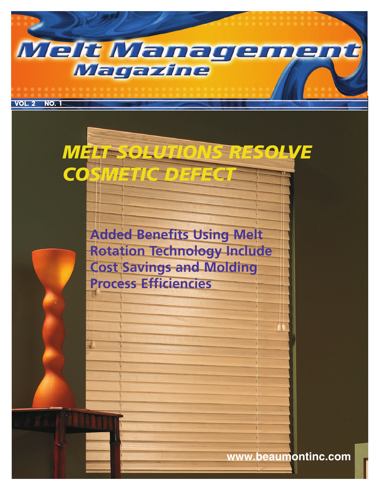



**www.beaumontinc.com**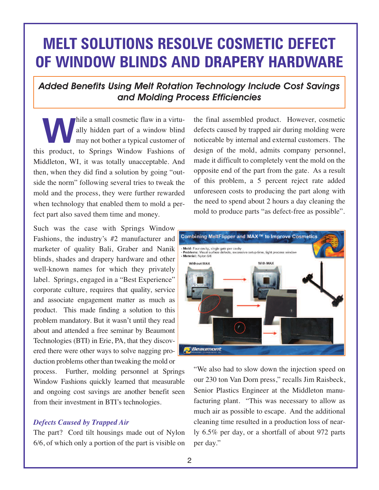# **MELT SOLUTIONS RESOLVE COSMETIC DEFECT OF WINDOW BLINDS AND DRAPERY HARDWARE**

# *Added Benefits Using Melt Rotation Technology Include Cost Savings and Molding Process Efficiencies*

hile a small cosmetic flaw in a virtu-<br>
ally hidden part of a window blind<br>
may not bother a typical customer of ally hidden part of a window blind this product, to Springs Window Fashions of Middleton, WI, it was totally unacceptable. And then, when they did find a solution by going "outside the norm" following several tries to tweak the mold and the process, they were further rewarded when technology that enabled them to mold a perfect part also saved them time and money.

Such was the case with Springs Window Fashions, the industry's #2 manufacturer and marketer of quality Bali, Graber and Nanik blinds, shades and drapery hardware and other well-known names for which they privately label. Springs, engaged in a "Best Experience" corporate culture, requires that quality, service and associate engagement matter as much as product. This made finding a solution to this problem mandatory. But it wasn't until they read about and attended a free seminar by Beaumont Technologies (BTI) in Erie, PA, that they discovered there were other ways to solve nagging production problems other than tweaking the mold or

process. Further, molding personnel at Springs Window Fashions quickly learned that measurable and ongoing cost savings are another benefit seen from their investment in BTI's technologies.

#### *Defects Caused by Trapped Air*

The part? Cord tilt housings made out of Nylon 6/6, of which only a portion of the part is visible on the final assembled product. However, cosmetic defects caused by trapped air during molding were noticeable by internal and external customers. The design of the mold, admits company personnel, made it difficult to completely vent the mold on the opposite end of the part from the gate. As a result of this problem, a 5 percent reject rate added unforeseen costs to producing the part along with the need to spend about 2 hours a day cleaning the mold to produce parts "as defect-free as possible".



"We also had to slow down the injection speed on our 230 ton Van Dorn press," recalls Jim Raisbeck, Senior Plastics Engineer at the Middleton manufacturing plant. "This was necessary to allow as much air as possible to escape. And the additional cleaning time resulted in a production loss of nearly 6.5% per day, or a shortfall of about 972 parts per day."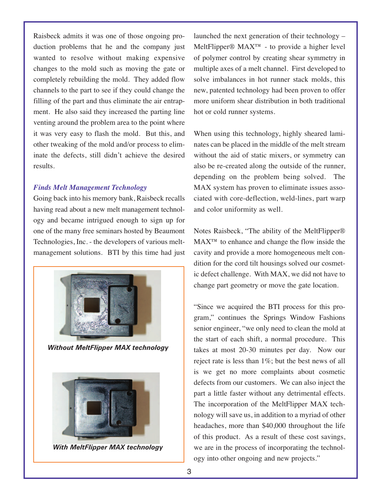Raisbeck admits it was one of those ongoing production problems that he and the company just wanted to resolve without making expensive changes to the mold such as moving the gate or completely rebuilding the mold. They added flow channels to the part to see if they could change the filling of the part and thus eliminate the air entrapment. He also said they increased the parting line venting around the problem area to the point where it was very easy to flash the mold. But this, and other tweaking of the mold and/or process to eliminate the defects, still didn't achieve the desired results.

#### *Finds Melt Management Technology*

Going back into his memory bank, Raisbeck recalls having read about a new melt management technology and became intrigued enough to sign up for one of the many free seminars hosted by Beaumont Technologies, Inc. - the developers of various meltmanagement solutions. BTI by this time had just



*Without MeltFlipper MAX technology*



*With MeltFlipper MAX technology*

launched the next generation of their technology –  $MeltFlipper@ MAX<sup>TM</sup> - to provide a higher level$ of polymer control by creating shear symmetry in multiple axes of a melt channel. First developed to solve imbalances in hot runner stack molds, this new, patented technology had been proven to offer more uniform shear distribution in both traditional hot or cold runner systems.

When using this technology, highly sheared laminates can be placed in the middle of the melt stream without the aid of static mixers, or symmetry can also be re-created along the outside of the runner, depending on the problem being solved. The MAX system has proven to eliminate issues associated with core-deflection, weld-lines, part warp and color uniformity as well.

Notes Raisbeck, "The ability of the MeltFlipper® MAX™ to enhance and change the flow inside the cavity and provide a more homogeneous melt condition for the cord tilt housings solved our cosmetic defect challenge. With MAX, we did not have to change part geometry or move the gate location.

"Since we acquired the BTI process for this program," continues the Springs Window Fashions senior engineer, "we only need to clean the mold at the start of each shift, a normal procedure. This takes at most 20-30 minutes per day. Now our reject rate is less than 1%; but the best news of all is we get no more complaints about cosmetic defects from our customers. We can also inject the part a little faster without any detrimental effects. The incorporation of the MeltFlipper MAX technology will save us, in addition to a myriad of other headaches, more than \$40,000 throughout the life of this product. As a result of these cost savings, we are in the process of incorporating the technology into other ongoing and new projects."